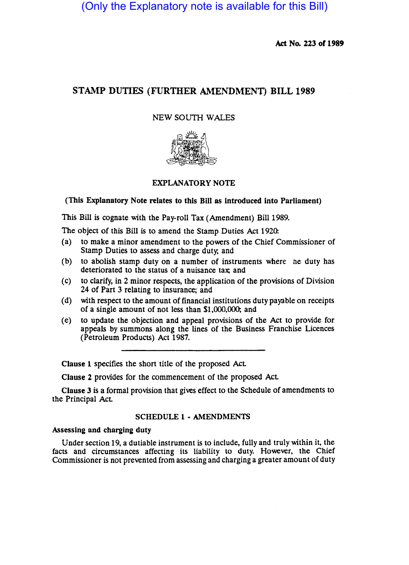(Only the Explanatory note is available for this Bill)

Ad No. *ZZJ* of 1989

# STAMP DUTIES (FURTHER AMENDMENT) BILL 1989

## NEW SOUTH WALES



## EXPLANATORY NOTE

(This Explanatory Note relates to this Bill as introduced into Parliament)

This Bill is cognate with the Pay-roll Tax (Amendment) Bill 1989.

The object of this Bill is to amend the Stamp Duties Act 1920:

- (a) to make a minor amendment to the powers of the Chief Commissioner of Stamp Duties to assess and charge duty; and
- (b) to abolish stamp duty on a number of instruments where he duty has deteriorated to the status of a nuisance tax; and
- (c) to clarify, in 2 minor respects, the application of the provisions of Division 24 of Part 3 relating to insurance; and
- (d) with respect to the amount of financial institutions duty payable on receipts of a single amount of not less than \$1,000,000; and
- (e) to update the objection and appeal provisions of the Act to provide for appeals by summons along the lines of the Business Franchise Licences (Petroleum Products) Act 1987.

Clause 1 specifies the short title of the proposed Act

Clause *Z* provides for the commencement of the proposed Act

Clause J is a formal provision that gives effect to the Schedule of amendments to the Principal Act

### SCHEDULE 1 • AMENDMENTS

#### Assessing and charging duty

Under section 19, a dutiable instrument is to include, fully and truly within it, the facts and circumstances affecting its liability to duty. However, the Chief Commissioner is not prevented from assessing and charging a greater amount of duty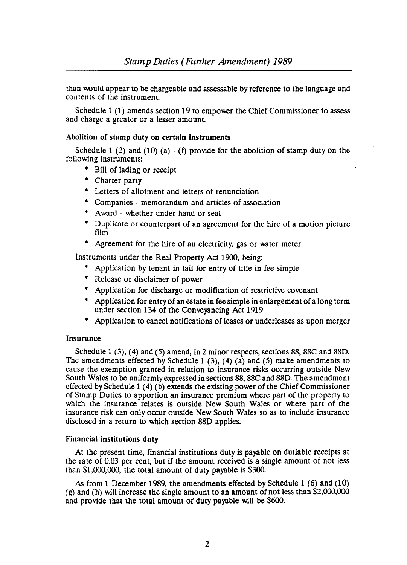than would appear to be chargeable and assessable by reference to the language and contents of the instrument

Schedule 1 (1) amends section 19 to empower the Chief Commissioner to assess and charge a greater or a lesser amount

### Abolition of stamp duty on certain instruments

Schedule 1 (2) and (10) (a) - (f) provide for the abolition of stamp duty on the following instruments:

- \* Bill of lading or receipt
- Charter party
- \* Letters of allotment and letters of renunciation
- \* Companies memorandum and articles of association
- \* Award whether under hand or seal
- Duplicate or counterpart of an agreement for the hire of a motion picture film
- \* Agreement for the hire of an electricity, gas or water meter

Instruments under the Real Property Act 1900, being:

- \* Application by tenant in tail for entry of title in fee simple
- \* Release or disclaimer of power
- Application for discharge or modification of restrictive covenant
- \* Application for entry of an estate in fee simple in enlargement of a long term under section 134 of the Conveyancing Act 1919
- Application to cancel notifications of leases or underleases as upon merger

#### Insurance

Schedule 1 (3), (4) and (5) amend, in 2 minor respects, sections 88, 88C and 88D. The amendments effected by Schedule 1  $(3)$ ,  $(4)$   $(a)$  and  $(5)$  make amendments to cause the exemption granted in relation to insurance risks occurring outside New South Wales to be uniformly expressed in sections 88, 88C and 88D. The amendment effected by Schedule 1 (4) (b) extends the existing power of the Chief Commissioner of Stamp Duties to apportion an insurance premium where part of the property to which the insurance relates is outside New South Wales or where part of the insurance risk can only occur outside New South Wales so as to include insurance disclosed in a return to which section 88D applies.

## Financial institutions duty

At the present time, financial institutions duty is payable on dutiable receipts at the rate of 0.03 per cent, but if the amount received is a Single amount of not less than \$1,000,000, the total amount of duty payable is 5300.

As from 1 December 1989, the amendments effected by Schedule 1 (6) and (10) (g) and (h) will increase the single amount to an amount of not less than \$2,000,000 and provide that the total amount of duty payable will be \$600.